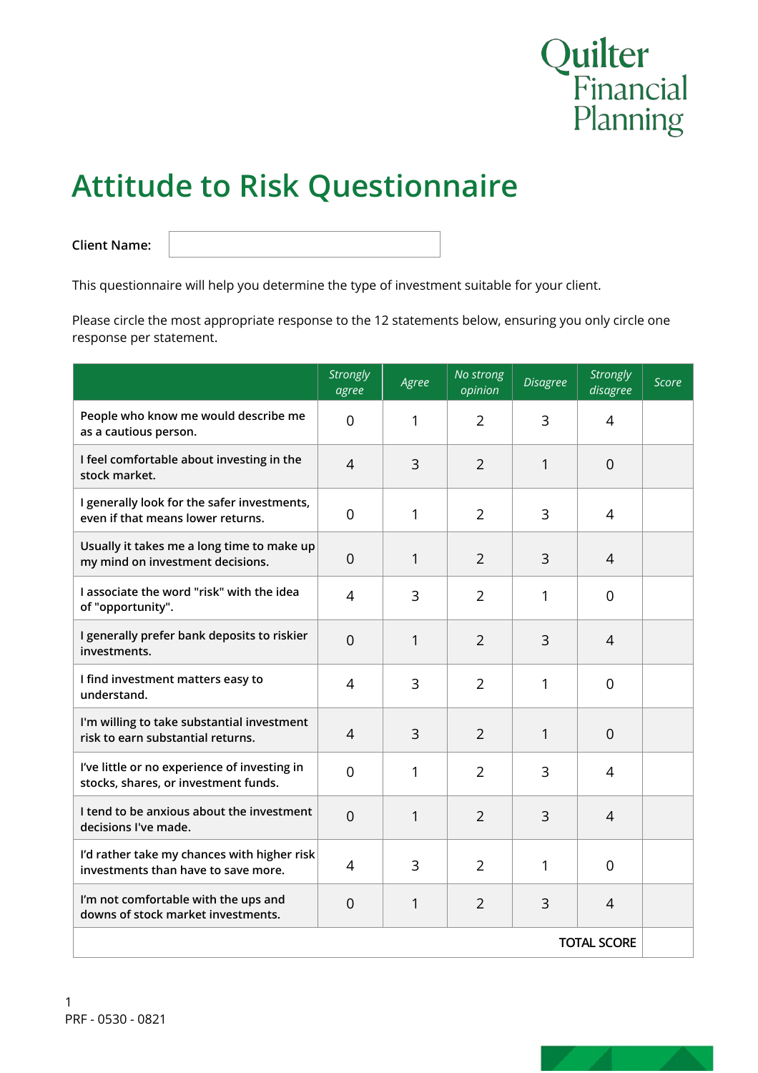

# **Attitude to Risk Questionnaire**

**Client Name:**

This questionnaire will help you determine the type of investment suitable for your client.

Please circle the most appropriate response to the 12 statements below, ensuring you only circle one response per statement.

|                                                                                      | <b>Strongly</b><br>agree | Agree | No strong<br>opinion | <b>Disagree</b> | <b>Strongly</b><br>disagree | <b>Score</b> |
|--------------------------------------------------------------------------------------|--------------------------|-------|----------------------|-----------------|-----------------------------|--------------|
| People who know me would describe me<br>as a cautious person.                        | 0                        | 1     | $\overline{2}$       | 3               | 4                           |              |
| I feel comfortable about investing in the<br>stock market.                           | $\overline{4}$           | 3     | $\overline{2}$       | $\mathbf{1}$    | $\overline{0}$              |              |
| I generally look for the safer investments,<br>even if that means lower returns.     | 0                        | 1     | $\overline{2}$       | 3               | 4                           |              |
| Usually it takes me a long time to make up<br>my mind on investment decisions.       | $\mathbf 0$              | 1     | $\overline{2}$       | 3               | $\overline{4}$              |              |
| I associate the word "risk" with the idea<br>of "opportunity".                       | 4                        | 3     | $\overline{2}$       | 1               | $\overline{0}$              |              |
| I generally prefer bank deposits to riskier<br>investments.                          | $\overline{0}$           | 1     | $\overline{2}$       | 3               | 4                           |              |
| I find investment matters easy to<br>understand.                                     | $\overline{4}$           | 3     | $\overline{2}$       | 1               | $\overline{0}$              |              |
| I'm willing to take substantial investment<br>risk to earn substantial returns.      | $\overline{4}$           | 3     | $\overline{2}$       | 1               | $\overline{0}$              |              |
| I've little or no experience of investing in<br>stocks, shares, or investment funds. | $\overline{0}$           | 1     | $\overline{2}$       | 3               | 4                           |              |
| I tend to be anxious about the investment<br>decisions I've made.                    | $\overline{0}$           | 1     | $\overline{2}$       | 3               | 4                           |              |
| I'd rather take my chances with higher risk<br>investments than have to save more.   | 4                        | 3     | $\overline{2}$       | 1               | $\mathbf 0$                 |              |
| I'm not comfortable with the ups and<br>downs of stock market investments.           | $\overline{0}$           | 1     | $\overline{2}$       | 3               | $\overline{4}$              |              |
| <b>TOTAL SCORE</b>                                                                   |                          |       |                      |                 |                             |              |

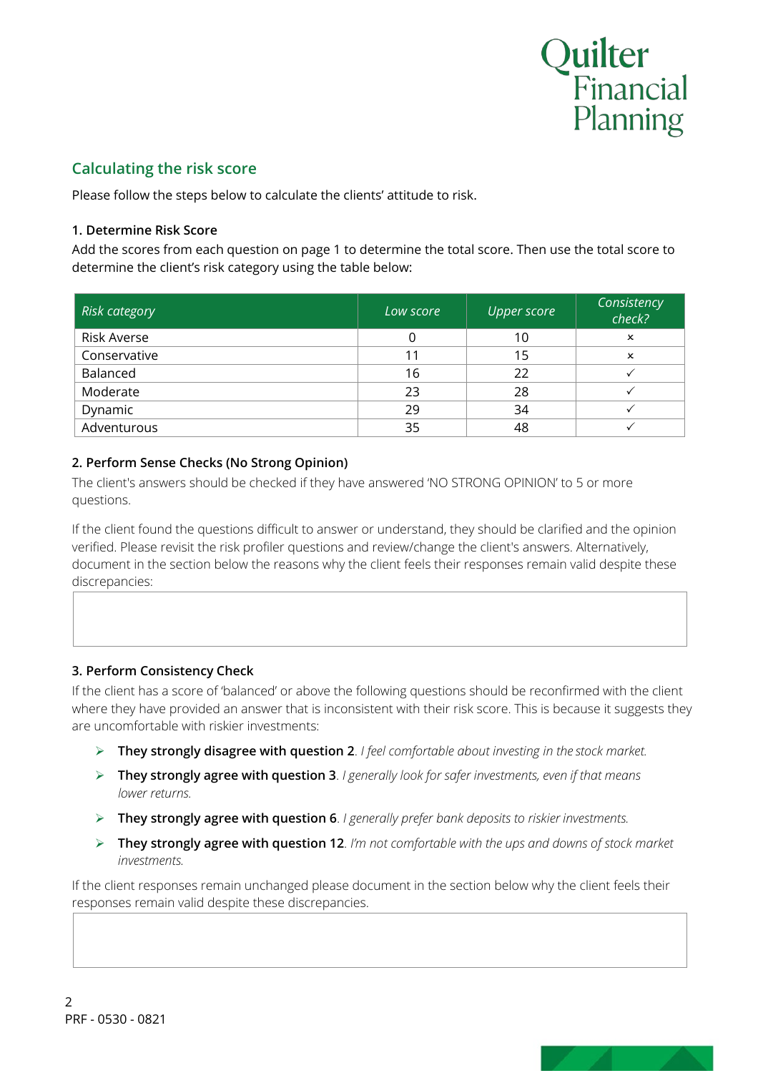

### **Calculating the risk score**

Please follow the steps below to calculate the clients' attitude to risk.

#### **1. Determine Risk Score**

Add the scores from each question on page 1 to determine the total score. Then use the total score to determine the client's risk category using the table below:

| <b>Risk category</b> | Low score | <b>Upper score</b> | Consistency<br>check? |
|----------------------|-----------|--------------------|-----------------------|
| <b>Risk Averse</b>   |           | 10                 | x                     |
| Conservative         | 11        | 15                 | ×                     |
| Balanced             | 16        | 22                 |                       |
| Moderate             | 23        | 28                 |                       |
| Dynamic              | 29        | 34                 |                       |
| Adventurous          | 35        | 48                 |                       |

#### **2. Perform Sense Checks (No Strong Opinion)**

The client's answers should be checked if they have answered 'NO STRONG OPINION' to 5 or more questions.

If the client found the questions difficult to answer or understand, they should be clarified and the opinion verified. Please revisit the risk profiler questions and review/change the client's answers. Alternatively, document in the section below the reasons why the client feels their responses remain valid despite these discrepancies:

### **3. Perform Consistency Check**

If the client has a score of 'balanced' or above the following questions should be reconfirmed with the client where they have provided an answer that is inconsistent with their risk score. This is because it suggests they are uncomfortable with riskier investments:

- **They strongly disagree with question 2**. *I feel comfortable about investing in the stock market.*
- **They strongly agree with question 3**. *I generally look for safer investments, even if that means lower returns.*
- **They strongly agree with question 6**. *I generally prefer bank deposits to riskier investments.*
- **They strongly agree with question 12**. *I'm not comfortable with the ups and downs of stock market investments.*

If the client responses remain unchanged please document in the section below why the client feels their responses remain valid despite these discrepancies.

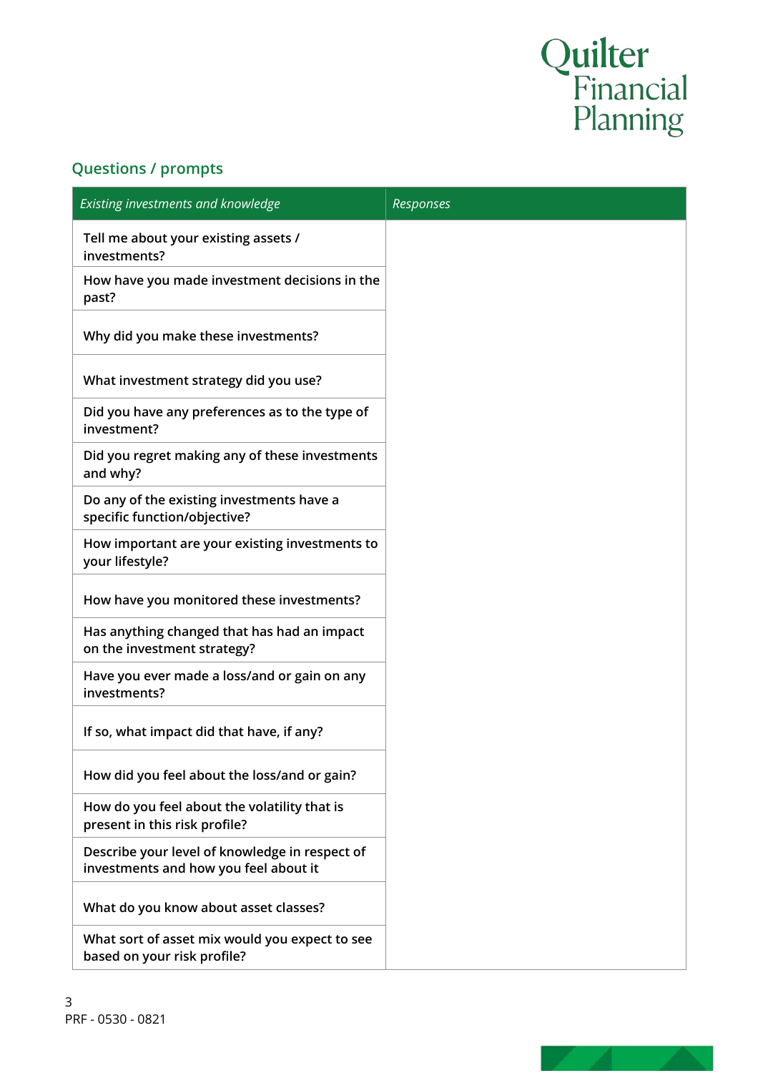# Quilter<br>Financial<br>Planning

# **Questions / prompts**

| Existing investments and knowledge                                                      | Responses |
|-----------------------------------------------------------------------------------------|-----------|
| Tell me about your existing assets /<br>investments?                                    |           |
| How have you made investment decisions in the<br>past?                                  |           |
| Why did you make these investments?                                                     |           |
| What investment strategy did you use?                                                   |           |
| Did you have any preferences as to the type of<br>investment?                           |           |
| Did you regret making any of these investments<br>and why?                              |           |
| Do any of the existing investments have a<br>specific function/objective?               |           |
| How important are your existing investments to<br>your lifestyle?                       |           |
| How have you monitored these investments?                                               |           |
| Has anything changed that has had an impact<br>on the investment strategy?              |           |
| Have you ever made a loss/and or gain on any<br>investments?                            |           |
| If so, what impact did that have, if any?                                               |           |
| How did you feel about the loss/and or gain?                                            |           |
| How do you feel about the volatility that is<br>present in this risk profile?           |           |
| Describe your level of knowledge in respect of<br>investments and how you feel about it |           |
| What do you know about asset classes?                                                   |           |
| What sort of asset mix would you expect to see<br>based on your risk profile?           |           |

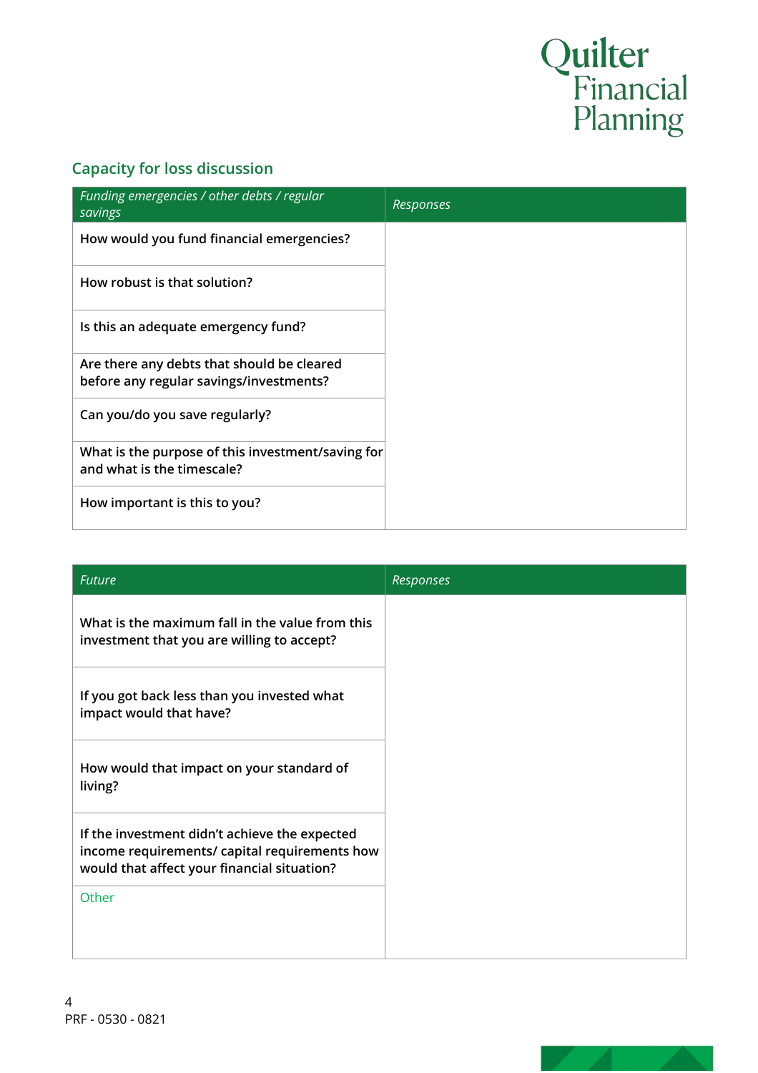# Quilter<br>Financial<br>Planning

# **Capacity for loss discussion**

| Funding emergencies / other debts / regular<br>savings                                | Responses |
|---------------------------------------------------------------------------------------|-----------|
| How would you fund financial emergencies?                                             |           |
| How robust is that solution?                                                          |           |
| Is this an adequate emergency fund?                                                   |           |
| Are there any debts that should be cleared<br>before any regular savings/investments? |           |
| Can you/do you save regularly?                                                        |           |
| What is the purpose of this investment/saving for<br>and what is the timescale?       |           |
| How important is this to you?                                                         |           |

| <b>Future</b>                                                                                                                                 | Responses |
|-----------------------------------------------------------------------------------------------------------------------------------------------|-----------|
| What is the maximum fall in the value from this<br>investment that you are willing to accept?                                                 |           |
| If you got back less than you invested what<br>impact would that have?                                                                        |           |
| How would that impact on your standard of<br>living?                                                                                          |           |
| If the investment didn't achieve the expected<br>income requirements/ capital requirements how<br>would that affect your financial situation? |           |
| Other                                                                                                                                         |           |

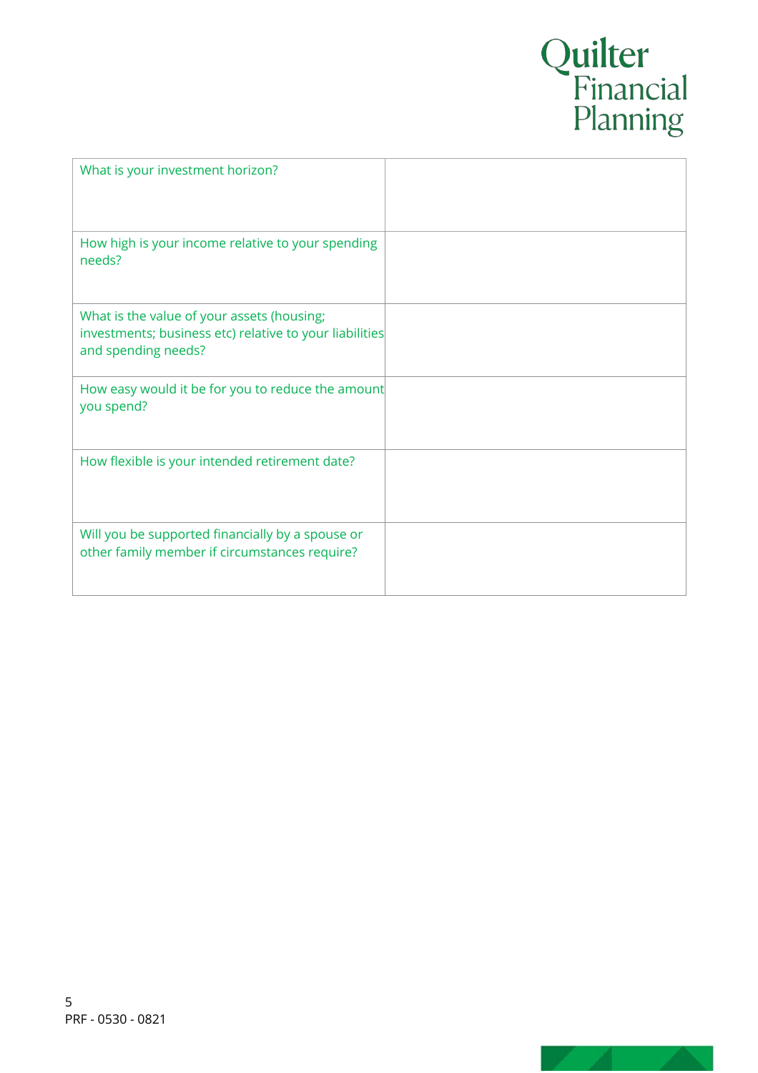# Quilter<br>Financial<br>Planning

| What is your investment horizon?                                                                                             |  |
|------------------------------------------------------------------------------------------------------------------------------|--|
| How high is your income relative to your spending<br>needs?                                                                  |  |
| What is the value of your assets (housing;<br>investments; business etc) relative to your liabilities<br>and spending needs? |  |
| How easy would it be for you to reduce the amount<br>you spend?                                                              |  |
| How flexible is your intended retirement date?                                                                               |  |
| Will you be supported financially by a spouse or<br>other family member if circumstances require?                            |  |